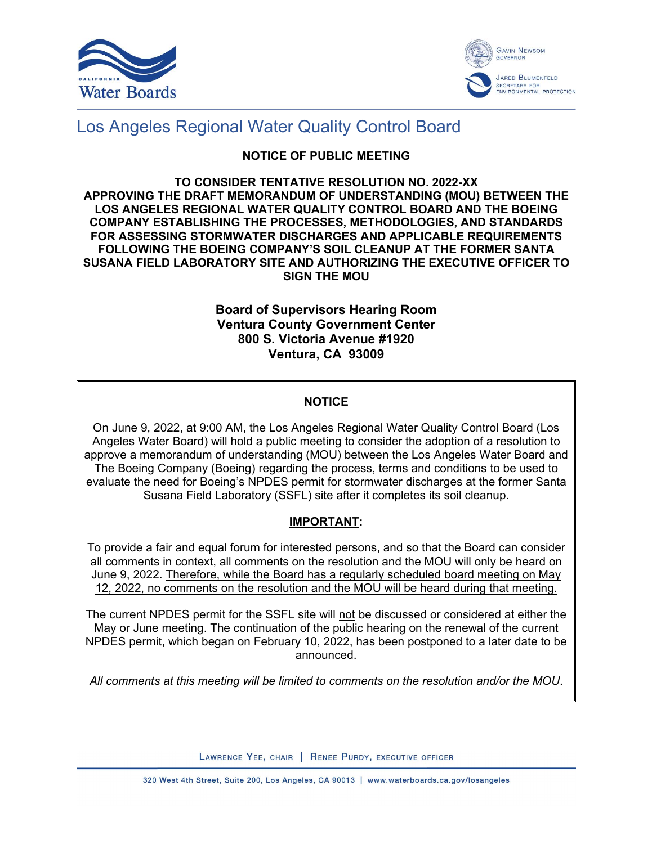



# Los Angeles Regional Water Quality Control Board

### **NOTICE OF PUBLIC MEETING**

#### **TO CONSIDER TENTATIVE RESOLUTION NO. 2022-XX APPROVING THE DRAFT MEMORANDUM OF UNDERSTANDING (MOU) BETWEEN THE LOS ANGELES REGIONAL WATER QUALITY CONTROL BOARD AND THE BOEING COMPANY ESTABLISHING THE PROCESSES, METHODOLOGIES, AND STANDARDS FOR ASSESSING STORMWATER DISCHARGES AND APPLICABLE REQUIREMENTS FOLLOWING THE BOEING COMPANY'S SOIL CLEANUP AT THE FORMER SANTA SUSANA FIELD LABORATORY SITE AND AUTHORIZING THE EXECUTIVE OFFICER TO SIGN THE MOU**

### **Board of Supervisors Hearing Room Ventura County Government Center 800 S. Victoria Avenue #1920 Ventura, CA 93009**

## **NOTICE**

On June 9, 2022, at 9:00 AM, the Los Angeles Regional Water Quality Control Board (Los Angeles Water Board) will hold a public meeting to consider the adoption of a resolution to approve a memorandum of understanding (MOU) between the Los Angeles Water Board and The Boeing Company (Boeing) regarding the process, terms and conditions to be used to evaluate the need for Boeing's NPDES permit for stormwater discharges at the former Santa Susana Field Laboratory (SSFL) site after it completes its soil cleanup.

### **IMPORTANT:**

To provide a fair and equal forum for interested persons, and so that the Board can consider all comments in context, all comments on the resolution and the MOU will only be heard on June 9, 2022. Therefore, while the Board has a regularly scheduled board meeting on May 12, 2022, no comments on the resolution and the MOU will be heard during that meeting.

The current NPDES permit for the SSFL site will not be discussed or considered at either the May or June meeting. The continuation of the public hearing on the renewal of the current NPDES permit, which began on February 10, 2022, has been postponed to a later date to be announced.

*All comments at this meeting will be limited to comments on the resolution and/or the MOU*.

LAWRENCE YEE, CHAIR | RENEE PURDY, EXECUTIVE OFFICER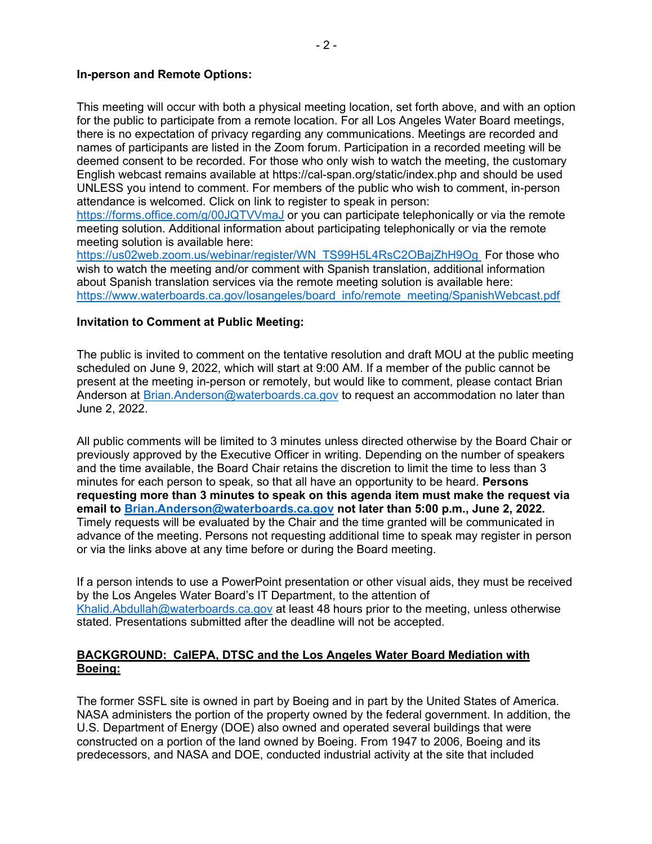#### **In-person and Remote Options:**

This meeting will occur with both a physical meeting location, set forth above, and with an option for the public to participate from a remote location. For all Los Angeles Water Board meetings, there is no expectation of privacy regarding any communications. Meetings are recorded and names of participants are listed in the Zoom forum. Participation in a recorded meeting will be deemed consent to be recorded. For those who only wish to watch the meeting, the customary English webcast remains available at https://cal-span.org/static/index.php and should be used UNLESS you intend to comment. For members of the public who wish to comment, in-person attendance is welcomed. Click on link to register to speak in person:

<https://forms.office.com/g/00JQTVVmaJ> or you can participate telephonically or via the remote meeting solution. Additional information about participating telephonically or via the remote meeting solution is available here:

[https://us02web.zoom.us/webinar/register/WN\\_TS99H5L4RsC2OBajZhH9Og](https://gcc02.safelinks.protection.outlook.com/?url=https%3A%2F%2Fus02web.zoom.us%2Fwebinar%2Fregister%2FWN_TS99H5L4RsC2OBajZhH9Og&data=04%7C01%7CRenee.Purdy%40waterboards.ca.gov%7C2595b0ed512a4bbb45dc08da1d7d1d64%7Cfe186a257d4941e6994105d2281d36c1%7C0%7C0%7C637854720460282114%7CUnknown%7CTWFpbGZsb3d8eyJWIjoiMC4wLjAwMDAiLCJQIjoiV2luMzIiLCJBTiI6Ik1haWwiLCJXVCI6Mn0%3D%7C3000&sdata=U%2B3X8NG5KDiGOQo%2FSHEdHIl55xPMiwC3gt2cES0PTmc%3D&reserved=0) For those who wish to watch the meeting and/or comment with Spanish translation, additional information about Spanish translation services via the remote meeting solution is available here: [https://www.waterboards.ca.gov/losangeles/board\\_info/remote\\_meeting/SpanishWebcast.pdf](https://www.waterboards.ca.gov/losangeles/board_info/remote_meeting/SpanishWebcast.pdf)

#### **Invitation to Comment at Public Meeting:**

The public is invited to comment on the tentative resolution and draft MOU at the public meeting scheduled on June 9, 2022, which will start at 9:00 AM. If a member of the public cannot be present at the meeting in-person or remotely, but would like to comment, please contact Brian Anderson at [Brian.Anderson@waterboards.ca.gov](mailto:Brian.Anderson@waterboards.ca.gov) to request an accommodation no later than June 2, 2022.

All public comments will be limited to 3 minutes unless directed otherwise by the Board Chair or previously approved by the Executive Officer in writing. Depending on the number of speakers and the time available, the Board Chair retains the discretion to limit the time to less than 3 minutes for each person to speak, so that all have an opportunity to be heard. **Persons requesting more than 3 minutes to speak on this agenda item must make the request via email to [Brian.Anderson@waterboards.ca.gov](mailto:Brian.Anderson@waterboards.ca.gov) not later than 5:00 p.m., June 2, 2022.**  Timely requests will be evaluated by the Chair and the time granted will be communicated in advance of the meeting. Persons not requesting additional time to speak may register in person or via the links above at any time before or during the Board meeting.

If a person intends to use a PowerPoint presentation or other visual aids, they must be received by the Los Angeles Water Board's IT Department, to the attention of [Khalid.Abdullah@waterboards.ca.gov](mailto:Khalid.Abdullah@waterboards.ca.gov) at least 48 hours prior to the meeting, unless otherwise stated. Presentations submitted after the deadline will not be accepted.

### **BACKGROUND: CalEPA, DTSC and the Los Angeles Water Board Mediation with Boeing:**

The former SSFL site is owned in part by Boeing and in part by the United States of America. NASA administers the portion of the property owned by the federal government. In addition, the U.S. Department of Energy (DOE) also owned and operated several buildings that were constructed on a portion of the land owned by Boeing. From 1947 to 2006, Boeing and its predecessors, and NASA and DOE, conducted industrial activity at the site that included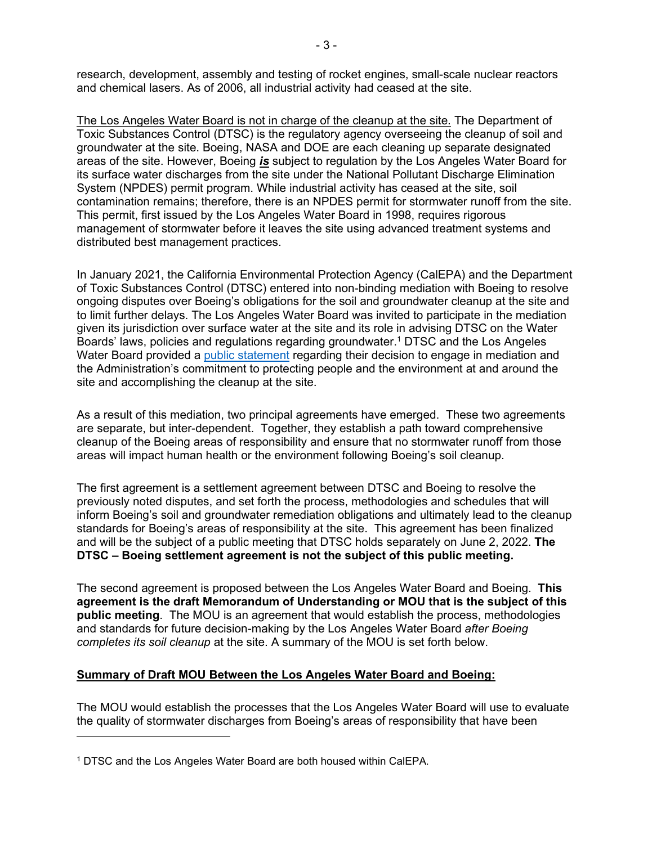research, development, assembly and testing of rocket engines, small-scale nuclear reactors and chemical lasers. As of 2006, all industrial activity had ceased at the site.

The Los Angeles Water Board is not in charge of the cleanup at the site. The Department of Toxic Substances Control (DTSC) is the regulatory agency overseeing the cleanup of soil and groundwater at the site. Boeing, NASA and DOE are each cleaning up separate designated areas of the site. However, Boeing *is* subject to regulation by the Los Angeles Water Board for its surface water discharges from the site under the National Pollutant Discharge Elimination System (NPDES) permit program. While industrial activity has ceased at the site, soil contamination remains; therefore, there is an NPDES permit for stormwater runoff from the site. This permit, first issued by the Los Angeles Water Board in 1998, requires rigorous management of stormwater before it leaves the site using advanced treatment systems and distributed best management practices.

In January 2021, the California Environmental Protection Agency (CalEPA) and the Department of Toxic Substances Control (DTSC) entered into non-binding mediation with Boeing to resolve ongoing disputes over Boeing's obligations for the soil and groundwater cleanup at the site and to limit further delays. The Los Angeles Water Board was invited to participate in the mediation given its jurisdiction over surface water at the site and its role in advising DTSC on the Water Boards' laws, policies and regulations regarding groundwater. [1](#page-2-0) DTSC and the Los Angeles Water Board provided a [public statement](https://www.waterboards.ca.gov/losangeles/press_room/announcements/) regarding their decision to engage in mediation and the Administration's commitment to protecting people and the environment at and around the site and accomplishing the cleanup at the site.

As a result of this mediation, two principal agreements have emerged. These two agreements are separate, but inter-dependent. Together, they establish a path toward comprehensive cleanup of the Boeing areas of responsibility and ensure that no stormwater runoff from those areas will impact human health or the environment following Boeing's soil cleanup.

The first agreement is a settlement agreement between DTSC and Boeing to resolve the previously noted disputes, and set forth the process, methodologies and schedules that will inform Boeing's soil and groundwater remediation obligations and ultimately lead to the cleanup standards for Boeing's areas of responsibility at the site. This agreement has been finalized and will be the subject of a public meeting that DTSC holds separately on June 2, 2022. **The DTSC – Boeing settlement agreement is not the subject of this public meeting.**

The second agreement is proposed between the Los Angeles Water Board and Boeing. **This agreement is the draft Memorandum of Understanding or MOU that is the subject of this public meeting**. The MOU is an agreement that would establish the process, methodologies and standards for future decision-making by the Los Angeles Water Board *after Boeing completes its soil cleanup* at the site. A summary of the MOU is set forth below.

#### **Summary of Draft MOU Between the Los Angeles Water Board and Boeing:**

The MOU would establish the processes that the Los Angeles Water Board will use to evaluate the quality of stormwater discharges from Boeing's areas of responsibility that have been

<span id="page-2-0"></span><sup>1</sup> DTSC and the Los Angeles Water Board are both housed within CalEPA.